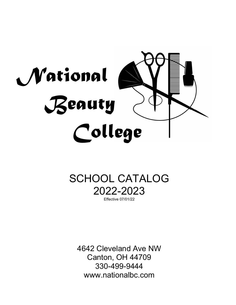

# SCHOOL CATALOG 2022-2023 Effective 07/01/22

4642 Cleveland Ave NW Canton, OH 44709 330-499-9444 www.nationalbc.com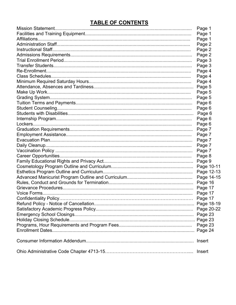### **TABLE OF CONTENTS**

| Page 1     |
|------------|
| Page 1     |
| Page 1     |
| Page 2     |
| Page 2     |
| Page 2     |
| Page 3     |
| Page 3     |
| Page 4     |
| Page 4     |
| Page 4     |
| Page 5     |
| Page 5     |
| Page 5     |
| Page 6     |
| Page 6     |
| Page 6     |
| Page 6     |
| Page 6     |
| Page 7     |
| Page 7     |
| Page 7     |
| Page 7     |
| Page 7     |
| Page 8     |
| Page 9     |
| Page 10-11 |
| Page 12-13 |
| Page 14-15 |
| Page 16    |
| Page 17    |
| Page 17    |
| Page 17    |
|            |
|            |
|            |
|            |
|            |
|            |
| Insert     |
| Insert     |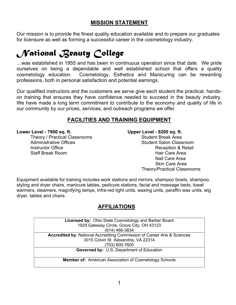### MISSION STATEMENT

Our mission is to provide the finest quality education available and to prepare our graduates for licensure as well as forming a successful career in the cosmetology industry.

# National Beauty College

…was established in 1955 and has been in continuous operation since that date. We pride ourselves on being a dependable and well established school that offers a quality<br>cosmetology education. Cosmetology, Esthetics and Manicuring can be rewarding Cosmetology, Esthetics and Manicuring can be rewarding professions, both in personal satisfaction and potential earnings.

Our qualified instructors and the customers we serve give each student the practical, handson training that ensures they have confidence needed to succeed in the beauty industry. We have made a long term commitment to contribute to the economy and quality of life in our community by our prices, services, and outreach programs we offer.

### FACILITIES AND TRAINING EQUIPMENT

Theory / Practical Classrooms **Student Break Area**<br>Administrative Offices Administrative Offices Instructor Office **Acception & Reception & Retail Staff Break Room** New York Care Area **Hair Care Area** 

Lower Level - 7900 sq. ft. Upper Level - 9200 sq. ft.

Student Salon Classroom Nail Care Area Skin Care Area Theory/Practical Classrooms

Equipment available for training includes work stations and mirrors, shampoo bowls, shampoo, styling and dryer chairs, manicure tables, pedicure stations, facial and massage beds, towel warmers, steamers, magnifying lamps, infra-red light units, waxing units, paraffin wax units, wig dryer, tables and chairs.

### AFFILIATIONS

| <b>Licensed by: Ohio State Cosmetology and Barber Board</b>              |
|--------------------------------------------------------------------------|
| 1929 Gateway Circle, Grove City, OH 43123                                |
| (614) 466-3834                                                           |
| Accredited by: National Accrediting Commission of Career Arts & Sciences |
| 3015 Colvin St Alexandria, VA 22314                                      |
| (703) 600-7600                                                           |
| Governed by: U.S. Department of Education                                |
|                                                                          |
| <b>Member of:</b> American Association of Cosmetology Schools            |
|                                                                          |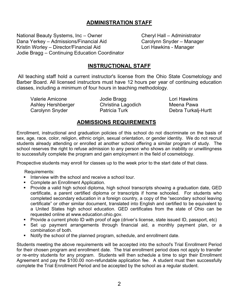### ADMINISTRATION STAFF

National Beauty Systems, Inc – Owner Cheryl Hall – Administrator<br>Dana Yerkey – Admissions/Financial Aid Carolynn Snyder – Manager Dana Yerkey – Admissions/Financial Aid Carolynn Snyder – Manager Kristin Worley – Director/Financial Aid Jodie Bragg – Continuing Education Coordinator

### INSTRUCTIONAL STAFF

 All teaching staff hold a current instructor's license from the Ohio State Cosmetology and Barber Board. All licensed instructors must have 12 hours per year of continuing education classes, including a minimum of four hours in teaching methodology.

Valerie Amicone **Lori Hawkins** Jodie Bragg **Lori Hawkins**  Ashley Hershberger Christina Lagodich Meena Pawa Carolynn Snyder **Patricia Turk Carolynn Snyder** Patricia Turk **Debra Turkali-Hurtt** 

### ADMISSIONS REQUIREMENTS

Enrollment, instructional and graduation policies of this school do not discriminate on the basis of sex, age, race, color, religion, ethnic origin, sexual orientation, or gender identity. We do not recruit students already attending or enrolled at another school offering a similar program of study. The school reserves the right to refuse admission to any person who shows an inability or unwillingness to successfully complete the program and gain employment in the field of cosmetology.

Prospective students may enroll for classes up to the week prior to the start date of that class.

Requirements:

- Interview with the school and receive a school tour.
- **Complete an Enrollment Application.**
- Provide a valid high school diploma, high school transcripts showing a graduation date, GED certificate, a parent certified diploma or transcripts if home schooled. For students who completed secondary education in a foreign country, a copy of the "secondary school leaving certificate" or other similar document, translated into English and certified to be equivalent to a United States high school education. GED certificates from the state of Ohio can be requested online at www.education.ohio.gov.
- Provide a current photo ID with proof of age (driver's license, state issued ID, passport, etc)
- Set up payment arrangements through financial aid, a monthly payment plan, or a combination of both.
- Notify the school of the planned program, schedule, and enrollment date.

Students meeting the above requirements will be accepted into the school's Trial Enrollment Period for their chosen program and enrollment date. The trial enrollment period does not apply to transfer or re-entry students for any program. Students will then schedule a time to sign their Enrollment Agreement and pay the \$100.00 non-refundable application fee. A student must then successfully complete the Trial Enrollment Period and be accepted by the school as a regular student.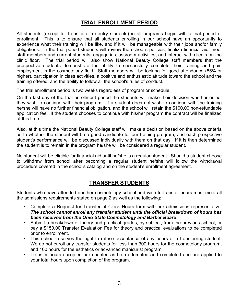### TRIAL ENROLLMENT PERIOD

All students (except for transfer or re-entry students) in all programs begin with a trial period of enrollment. This is to ensure that all students enrolling in our school have an opportunity to experience what their training will be like, and if it will be manageable with their jobs and/or family obligations. In the trial period students will review the school's policies, finalize financial aid, meet staff members and current students, engage in classroom activities, and interact with clients on the clinic floor. The trial period will also show National Beauty College staff members that the prospective students demonstrate the ability to successfully complete their training and gain employment in the cosmetology field. Staff members will be looking for good attendance (85% or higher), participation in class activities, a positive and enthusiastic attitude toward the school and the training offered, and the ability to follow all the school's rules of conduct.

The trial enrollment period is two weeks regardless of program or schedule.

On the last day of the trial enrollment period the students will make their decision whether or not they wish to continue with their program. If a student does not wish to continue with the training he/she will have no further financial obligation, and the school will retain the \$100.00 non-refundable application fee. If the student chooses to continue with his/her program the contract will be finalized at this time.

Also, at this time the National Beauty College staff will make a decision based on the above criteria as to whether the student will be a good candidate for our training program, and each prospective student's performance will be discussed individually with them on that day. If it is then determined the student is to remain in the program he/she will be considered a regular student.

No student will be eligible for financial aid until he/she is a regular student. Should a student choose to withdraw from school after becoming a regular student he/she will follow the withdrawal procedure covered in the school's catalog and on the student's enrollment agreement.

### TRANSFER STUDENTS

Students who have attended another cosmetology school and wish to transfer hours must meet all the admissions requirements stated on page 2 as well as the following:

- Complete a Request for Transfer of Clock Hours form with our admissions representative. The school cannot enroll any transfer student until the official breakdown of hours has been received from the Ohio State Cosmetology and Barber Board.
- Submit a breakdown of theory and practical grades, by subject, from the previous school, or pay a \$150.00 Transfer Evaluation Fee for theory and practical evaluations to be completed prior to enrollment.
- This school reserves the right to refuse acceptance of any hours of a transferring student. We do not enroll any transfer students for less than 300 hours for the cosmetology program, and 100 hours for the esthetics or advanced manicurist program.
- **Transfer hours accepted are counted as both attempted and completed and are applied to** your total hours upon completion of the program.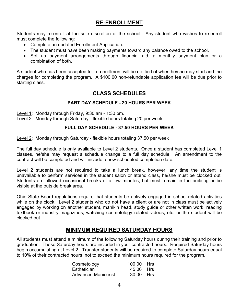### RE-ENROLLMENT

Students may re-enroll at the sole discretion of the school. Any student who wishes to re-enroll must complete the following:

- Complete an updated Enrollment Application.
- The student must have been making payments toward any balance owed to the school.
- Set up payment arrangements through financial aid, a monthly payment plan or a combination of both.

A student who has been accepted for re-enrollment will be notified of when he/she may start and the charges for completing the program. A \$100.00 non-refundable application fee will be due prior to starting class.

### CLASS SCHEDULES

### PART DAY SCHEDULE - 20 HOURS PER WEEK

Level 1: Monday through Friday, 9:30 am - 1:30 pm.

Level 2: Monday through Saturday - flexible hours totaling 20 per week

### FULL DAY SCHEDULE - 37.50 HOURS PER WEEK

Level 2: Monday through Saturday - flexible hours totaling 37.50 per week

The full day schedule is only available to Level 2 students. Once a student has completed Level 1 classes, he/she may request a schedule change to a full day schedule. An amendment to the contract will be completed and will include a new scheduled completion date.

Level 2 students are not required to take a lunch break, however, any time the student is unavailable to perform services in the student salon or attend class, he/she must be clocked out. Students are allowed occasional breaks of a few minutes, but must remain in the building or be visible at the outside break area.

Ohio State Board regulations require that students be actively engaged in school-related activities while on the clock. Level 2 students who do not have a client or are not in class must be actively engaged by working on another student, manikin head, study guide or other written work, reading textbook or industry magazines, watching cosmetology related videos, etc. or the student will be clocked out.

### MINIMUM REQUIRED SATURDAY HOURS

All students must attend a minimum of the following Saturday hours during their training and prior to graduation. These Saturday hours are included in your contracted hours. Required Saturday hours begin accumulating at Level 2. Transfer students will be required to complete Saturday hours equal to 10% of their contracted hours, not to exceed the minimum hours required for the program.

| Cosmetology                | 100.00 Hrs |  |
|----------------------------|------------|--|
| Esthetician                | 45.00 Hrs  |  |
| <b>Advanced Manicurist</b> | 30.00 Hrs  |  |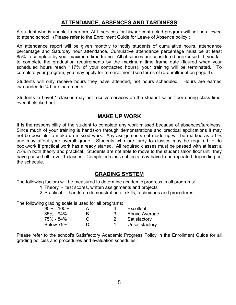### ATTENDANCE, ABSENCES AND TARDINESS

A student who is unable to perform ALL services for his/her contracted program will not be allowed to attend school. (Please refer to the Enrollment Guide for Leave of Absence policy.)

An attendance report will be given monthly to notify students of cumulative hours, attendance percentage and Saturday hour attendance. Cumulative attendance percentage must be at least 85% to complete by your maximum time frame. All absences are considered unexcused. If you fail to complete the graduation requirements by the maximum time frame date (figured when your scheduled hours reach 117% of your contracted hours), your training will be terminated. To complete your program, you may apply for re-enrollment (see terms of re-enrollment on page 4).

Students will only receive hours they have attended, not hours scheduled. Hours are earned in/rounded to ¼ hour increments.

Students in Level 1 classes may not receive services on the student salon floor during class time, even if clocked out.

### MAKE UP WORK

It is the responsibility of the student to complete any work missed because of absences/tardiness. Since much of your training is hands-on through demonstrations and practical applications it may not be possible to make up missed work. Any assignments not made up will be marked as a 0% and may affect your overall grade. Students who are tardy to classes may be required to do bookwork if practical work has already started. All required classes must be passed with at least a 75% in both theory and practical. Students are not able to move to the student salon floor until they have passed all Level 1 classes. Completed class subjects may have to be repeated depending on the schedule.

### GRADING SYSTEM

The following factors will be measured to determine academic progress in all programs:

1. Theory - test scores, written assignments and projects

2. Practical - hands-on demonstration of skills, techniques and procedures

The following grading scale is used for all programs:

| $95\% - 100\%$ | А | Excellent      |
|----------------|---|----------------|
| $85\% - 94\%$  | B | Above Average  |
| 75% - 84%      |   | Satisfactory   |
| Below 75%      |   | Unsatisfactory |

Please refer to the school's Satisfactory Academic Progress Policy in the Enrollment Guide for all grading policies and procedures and evaluation schedules.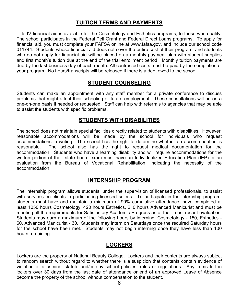### TUITION TERMS AND PAYMENTS

Title IV financial aid is available for the Cosmetology and Esthetics programs, to those who qualify. The school participates in the Federal Pell Grant and Federal Direct Loans programs. To apply for financial aid, you must complete your FAFSA online at www.fafsa.gov, and include our school code 011744. Students whose financial aid does not cover the entire cost of their program, and students who do not apply for financial aid will be placed on a monthly payment plan with student supplies and first month's tuition due at the end of the trial enrollment period. Monthly tuition payments are due by the last business day of each month. All contracted costs must be paid by the completion of your program. No hours/transcripts will be released if there is a debt owed to the school.

### STUDENT COUNSELING

Students can make an appointment with any staff member for a private conference to discuss problems that might affect their schooling or future employment. These consultations will be on a one-on-one basis if needed or requested. Staff can help with referrals to agencies that may be able to assist the students with specific problems.

### STUDENTS WITH DISABILITIES

The school does not maintain special facilities directly related to students with disabilities. However, reasonable accommodations will be made by the school for individuals who request accommodations in writing. The school has the right to determine whether an accommodation is reasonable. The school also has the right to request medical documentation for the accommodation. Students who have a learning disability and will require accommodations for the written portion of their state board exam must have an Individualized Education Plan (IEP) or an evaluation from the Bureau of Vocational Rehabilitation, indicating the necessity of the accommodation.

### INTERNSHIP PROGRAM

The internship program allows students, under the supervision of licensed professionals, to assist with services on clients in participating licensed salons. To participate in the internship program, students must have and maintain a minimum of 90% cumulative attendance, have completed at least 1050 hours Cosmetology, 420 hours Esthetics, 210 hours Advanced Manicurist and must be meeting all the requirements for Satisfactory Academic Progress as of their most recent evaluation. Students may earn a maximum of the following hours by interning: Cosmetology - 150, Esthetics - 60, Advanced Manicurist - 30. Students may intern on Saturdays once the required Saturday hours for the school have been met. Students may not begin interning once they have less than 100 hours remaining.

### LOCKERS

Lockers are the property of National Beauty College. Lockers and their contents are always subject to random search without regard to whether there is a suspicion that contents contain evidence of violation of a criminal statute and/or any school policies, rules or regulations. Any items left in lockers over 30 days from the last date of attendance or end of an approved Leave of Absence become the property of the school without compensation to the student.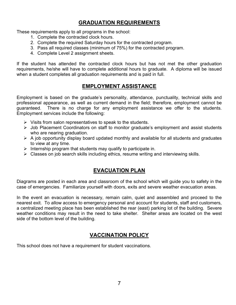### GRADUATION REQUIREMENTS

These requirements apply to all programs in the school:

- 1. Complete the contracted clock hours.
- 2. Complete the required Saturday hours for the contracted program.
- 3. Pass all required classes (minimum of 75%) for the contracted program.
- 4. Complete Level 2 assignment sheets.

If the student has attended the contracted clock hours but has not met the other graduation requirements, he/she will have to complete additional hours to graduate. A diploma will be issued when a student completes all graduation requirements and is paid in full.

### EMPLOYMENT ASSISTANCE

Employment is based on the graduate's personality, attendance, punctuality, technical skills and professional appearance, as well as current demand in the field; therefore, employment cannot be guaranteed. There is no charge for any employment assistance we offer to the students. Employment services include the following:

- $\triangleright$  Visits from salon representatives to speak to the students.
- Job Placement Coordinators on staff to monitor graduate's employment and assist students who are nearing graduation.
- $\triangleright$  A job opportunity display board updated monthly and available for all students and graduates to view at any time.
- Internship program that students may qualify to participate in.
- $\triangleright$  Classes on job search skills including ethics, resume writing and interviewing skills.

### EVACUATION PLAN

Diagrams are posted in each area and classroom of the school which will guide you to safety in the case of emergencies. Familiarize yourself with doors, exits and severe weather evacuation areas.

In the event an evacuation is necessary, remain calm, quiet and assembled and proceed to the nearest exit. To allow access to emergency personal and account for students, staff and customers, a centralized meeting place has been established the rear (east) parking lot of the building. Severe weather conditions may result in the need to take shelter. Shelter areas are located on the west side of the bottom level of the building.

### VACCINATION POLICY

This school does not have a requirement for student vaccinations.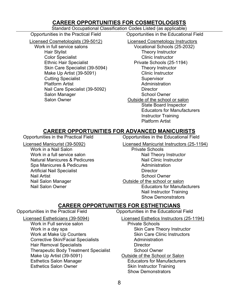### CAREER OPPORTUNITIES FOR COSMETOLOGISTS

#### Standard Occupational Classification Codes Listed (as applicable)

Licensed Cosmetologists (39-5012) Licensed Cosmetology Instructors

Hair Stylist Theory Instructor **Color Specialist** Color Specialist Color Specialist Ethnic Hair Specialist **Private Schools (25-1194)** Skin Care Specialist (39-5094) Theory Instructor Make Up Artist (39-5091) Clinic Instructor **Cutting Specialist** Cutting Supervisor Platform Artist **Administration Administration** Nail Care Specialist (39-5092) Director Salon Manager Salon Manager School Owner Salon Owner **Salon Owner** Cutside of the school or salon

Opportunities in the Practical Field Opportunities in the Educational Field

Work in full service salons Vocational Schools (25-2032) State Board Inspector Educators for Manufacturers Instructor Training Platform Artist

### CAREER OPPORTUNITIES FOR ADVANCED MANICURISTS

Work in a Nail Salon **Private Schools** Work in a full service salon Nail Theory Instructor Natural Manicures & Pedicures Nature Nail Clinic Instructor Spa Manicures & Pedicures **Administration** Artificial Nail Specialist **Director** Director Nail Artist Nail Artist School Owner Nail Salon Manager **National Salon Manager** Cutside of the school or salon

Opportunities in the Practical Field Opportunities in the Educational Field

Licensed Manicurist (39-5092) Licensed Manicurist Instructors (25-1194)

Nail Salon Owner **National Salon Owner Educators for Manufacturers** Nail Instructor Training

Show Demonstrators

### CAREER OPPORTUNITIES FOR ESTHETICIANS

Opportunities in the Practical Field Opportunities in the Educational Field

Work in Full service salon New York in Schools Work in a day spa Solution of the Skin Care Theory Instructor Work at Make Up Counters **Skin Care Clinic Instructors** Skin Care Clinic Instructors Corrective Skin/Facial Specialists **Administration**  Hair Removal Specialists Director Therapeutic Body Treatment Specialist School Owner Make Up Artist (39-5091) Outside of the School or Salon Esthetics Salon Manager **Exercise Educators for Manufacturers** Esthetics Salon Owner Skin Instructor Training

 Licensed Estheticians (39-5094) Licensed Esthetics Instructors (25-1194) Show Demonstrators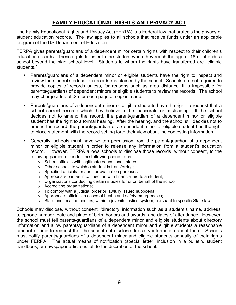### FAMILY EDUCATIONAL RIGHTS AND PRIVACY ACT

The Family Educational Rights and Privacy Act (FERPA) is a Federal law that protects the privacy of student education records. The law applies to all schools that receive funds under an applicable program of the US Department of Education.

FERPA gives parents/guardians of a dependent minor certain rights with respect to their children's education records. These rights transfer to the student when they reach the age of 18 or attends a school beyond the high school level. Students to whom the rights have transferred are "eligible students."

- Parents/guardians of a dependent minor or eligible students have the right to inspect and review the student's education records maintained by the school. Schools are not required to provide copies of records unless, for reasons such as area distance, it is impossible for parents/guardians of dependent minors or eligible students to review the records. The school may charge a fee of .25 for each page of copies made.
- Parents/guardians of a dependent minor or eligible students have the right to request that a school correct records which they believe to be inaccurate or misleading. If the school decides not to amend the record, the parent/guardian of a dependent minor or eligible student has the right to a formal hearing. After the hearing, and the school still decides not to amend the record, the parent/guardian of a dependent minor or eligible student has the right to place statement with the record setting forth their view about the contesting information.
- Generally, schools must have written permission from the parent/guardian of a dependent minor or eligible student in order to release any information from a student's education record. However, FERPA allows schools to disclose those records, without consent, to the following parties or under the following conditions:
	- o School officials with legitimate educational interest;
	- o Other schools to which a student is transferring;
	- o Specified officials for audit or evaluation purposes;
	- $\circ$  Appropriate parties in connection with financial aid to a student;
	- o Organizations conducting certain studies for or on behalf of the school;
	- o Accrediting organizations;
	- $\circ$  To comply with a judicial order or lawfully issued subpoena;
	- o Appropriate officials in cases of health and safety emergencies;
	- o State and local authorities, within a juvenile justice system, pursuant to specific State law.

Schools may disclose, without consent, 'directory' information such as a student's name, address, telephone number, date and place of birth, honors and awards, and dates of attendance. However, the school must tell parents/guardians of a dependent minor and eligible students about directory information and allow parents/guardians of a dependent minor and eligible students a reasonable amount of time to request that the school not disclose directory information about them. Schools must notify parents/guardians of a dependent minor and eligible students annually of their rights under FERPA. The actual means of notification (special letter, inclusion in a bulletin, student handbook, or newspaper article) is left to the discretion of the school.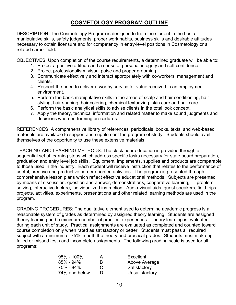### COSMETOLOGY PROGRAM OUTLINE

DESCRIPTION: The Cosmetology Program is designed to train the student in the basic manipulative skills, safety judgments, proper work habits, business skills and desirable attitudes necessary to obtain licensure and for competency in entry-level positions in Cosmetology or a related career field.

OBJECTIVES: Upon completion of the course requirements, a determined graduate will be able to:

- 1. Project a positive attitude and a sense of personal integrity and self confidence.
- 2. Project professionalism, visual poise and proper grooming.
- 3. Communicate effectively and interact appropriately with co-workers, management and clients.
- 4. Respect the need to deliver a worthy service for value received in an employment environment.
- 5. Perform the basic manipulative skills in the areas of scalp and hair conditioning, hair styling, hair shaping, hair coloring, chemical texturizing, skin care and nail care.
- 6. Perform the basic analytical skills to advise clients in the total look concept.
- 7. Apply the theory, technical information and related matter to make sound judgments and decisions when performing procedures.

REFERENCES: A comprehensive library of references, periodicals, books, texts, and web-based materials are available to support and supplement the program of study. Students should avail themselves of the opportunity to use these extensive materials.

TEACHING AND LEARNING METHODS: The clock hour education is provided through a sequential set of learning steps which address specific tasks necessary for state board preparation, graduation and entry level job skills. Equipment, implements, supplies and products are comparable to those used in the industry. Each student will receive instruction that relates to the performance of useful, creative and productive career oriented activities. The program is presented through comprehensive lesson plans which reflect effective educational methods. Subjects are presented by means of discussion, question and answer, demonstrations, cooperative learning, problem solving, interactive lecture, individualized instruction. Audio-visual aids, guest speakers, field trips, projects, activities, experiments, presentations and other related learning methods are used in the program.

GRADING PROCEDURES: The qualitative element used to determine academic progress is a reasonable system of grades as determined by assigned theory learning. Students are assigned theory learning and a minimum number of practical experiences. Theory learning is evaluated during each unit of study. Practical assignments are evaluated as completed and counted toward course completion only when rated as satisfactory or better. Students must pass all required subject with a minimum of 75% in both the theory and practical grades. Students must make up failed or missed tests and incomplete assignments. The following grading scale is used for all programs:

| $95\% - 100\%$ | A |
|----------------|---|
| 85% - 94%      | B |
| 75% - 84%      | С |
| 74% and below  | D |

Excellent Above Average Satisfactory Unsatisfactory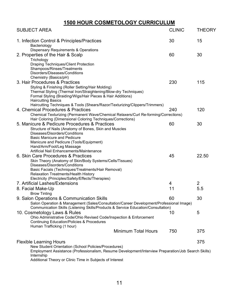## 1500 HOUR COSMETOLOGY CURRICULUM

| <b>SUBJECT AREA</b>                                                                                                                                                                                                                                                                                                                                                                                                                           | <b>CLINIC</b> | <b>THEORY</b>  |
|-----------------------------------------------------------------------------------------------------------------------------------------------------------------------------------------------------------------------------------------------------------------------------------------------------------------------------------------------------------------------------------------------------------------------------------------------|---------------|----------------|
| 1. Infection Control & Principles/Practices<br>Bacteriology                                                                                                                                                                                                                                                                                                                                                                                   | 30            | 15             |
| <b>Dispensary Requirements &amp; Operations</b><br>2. Properties of the Hair & Scalp<br>Trichology<br><b>Draping Techniques/Client Protection</b>                                                                                                                                                                                                                                                                                             | 60            | 30             |
| Shampoos/Rinses/Treatments<br>Disorders/Diseases/Conditions<br>Chemistry (Basics/pH)<br>3. Hair Procedures & Practices<br>Styling & Finishing (Roller Setting/Hair Molding)<br>Thermal Styling (Thermal Iron/Straightening/Blow-dry Techniques)<br>Formal Styling (Braiding/Wigs/Hair Pieces & Hair Additions)<br><b>Haircutting Basics</b>                                                                                                   | 230           | 115            |
| Haircutting Techniques & Tools (Shears/Razor/Texturizing/Clippers/Trimmers)<br>4. Chemical Procedures & Practices<br>Chemical Texturizing (Permanent Wave/Chemical Relaxers/Curl Re-forming/Corrections)                                                                                                                                                                                                                                      | 240           | 120            |
| Hair Coloring (Dimensional Coloring Techniques/Corrections)<br>5. Manicure & Pedicure Procedures & Practices<br>Structure of Nails (Anatomy of Bones, Skin and Muscles<br>Diseases/Disorders/Conditions                                                                                                                                                                                                                                       | 60            | 30             |
| <b>Basic Manicure and Pedicure</b><br>Manicure and Pedicure (Tools/Equipment)<br>Hand/Arm/Foot/Leg Massage<br>Artificial Nail Enhancements/Maintenance<br>6. Skin Care Procedures & Practices<br>Skin Theory (Anatomy of Skin/Body Systems/Cells/Tissues)<br>Diseases/Disorders/Conditions<br>Basic Facials (Techniques/Treatments/Hair Removal)<br>Relaxation Treatments/Health History<br>Electricity (Principles/Safety/Effects/Therapies) | 45            | 22.50          |
| 7. Artificial Lashes/Extensions                                                                                                                                                                                                                                                                                                                                                                                                               | 4             | $\overline{2}$ |
| 8. Facial Make-Up                                                                                                                                                                                                                                                                                                                                                                                                                             | 11            | 5.5            |
| <b>Brow Tinting</b><br>9. Salon Operations & Communication Skills<br>Salon Operation & Management (Sales/Consultation/Career Development/Professional Image)<br>Communication Skills (Listening Skills/Products & Service Education/Consultation)                                                                                                                                                                                             | 60            | 30             |
| 10. Cosmetology Laws & Rules<br>Ohio Administrative Code/Ohio Revised Code/Inspection & Enforcement<br><b>Continuing Education/Policies &amp; Procedures</b><br>Human Trafficking (1 hour)                                                                                                                                                                                                                                                    | 10            | 5              |
| <b>Minimum Total Hours</b>                                                                                                                                                                                                                                                                                                                                                                                                                    | 750           | 375            |
| <b>Flexible Learning Hours</b><br>New Student Orientation (School Policies/Procedures)<br>Employment Assistance (Professionalism, Resume Development/Interview Preparation/Job Search Skills)<br>Internship                                                                                                                                                                                                                                   |               | 375            |
| Additional Theory or Clinic Time in Subjects of Interest                                                                                                                                                                                                                                                                                                                                                                                      |               |                |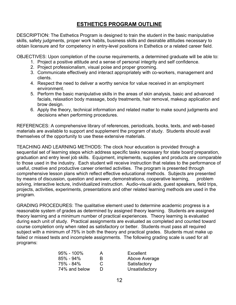### ESTHETICS PROGRAM OUTLINE

DESCRIPTION: The Esthetics Program is designed to train the student in the basic manipulative skills, safety judgments, proper work habits, business skills and desirable attitudes necessary to obtain licensure and for competency in entry-level positions in Esthetics or a related career field.

OBJECTIVES: Upon completion of the course requirements, a determined graduate will be able to:

- 1. Project a positive attitude and a sense of personal integrity and self confidence.
- 2. Project professionalism, visual poise and proper grooming.
- 3. Communicate effectively and interact appropriately with co-workers, management and clients.
- 4. Respect the need to deliver a worthy service for value received in an employment environment.
- 5. Perform the basic manipulative skills in the areas of skin analysis, basic and advanced facials, relaxation body massage, body treatments, hair removal, makeup application and brow design.
- 6. Apply the theory, technical information and related matter to make sound judgments and decisions when performing procedures.

REFERENCES: A comprehensive library of references, periodicals, books, texts, and web-based materials are available to support and supplement the program of study. Students should avail themselves of the opportunity to use these extensive materials.

TEACHING AND LEARNING METHODS: The clock hour education is provided through a sequential set of learning steps which address specific tasks necessary for state board preparation, graduation and entry level job skills. Equipment, implements, supplies and products are comparable to those used in the industry. Each student will receive instruction that relates to the performance of useful, creative and productive career oriented activities. The program is presented through comprehensive lesson plans which reflect effective educational methods. Subjects are presented by means of discussion, question and answer, demonstrations, cooperative learning, problem solving, interactive lecture, individualized instruction. Audio-visual aids, guest speakers, field trips, projects, activities, experiments, presentations and other related learning methods are used in the program.

GRADING PROCEDURES: The qualitative element used to determine academic progress is a reasonable system of grades as determined by assigned theory learning. Students are assigned theory learning and a minimum number of practical experiences. Theory learning is evaluated during each unit of study. Practical assignments are evaluated as completed and counted toward course completion only when rated as satisfactory or better. Students must pass all required subject with a minimum of 75% in both the theory and practical grades. Students must make up failed or missed tests and incomplete assignments. The following grading scale is used for all programs:

| $95\% - 100\%$ | A              | Excellent      |
|----------------|----------------|----------------|
| 85% - 94%      | R              | Above Average  |
| 75% - 84%      | C              | Satisfactory   |
| 74% and below  | $\blacksquare$ | Unsatisfactory |
|                |                |                |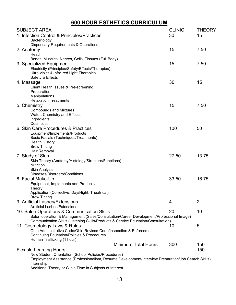## 600 HOUR ESTHETICS CURRICULUM

| <b>SUBJECT AREA</b>                                                                                                                                         | <b>CLINIC</b> | <b>THEORY</b>  |
|-------------------------------------------------------------------------------------------------------------------------------------------------------------|---------------|----------------|
| 1. Infection Control & Principles/Practices                                                                                                                 | 30            | 15             |
| Bacteriology                                                                                                                                                |               |                |
| <b>Dispensary Requirements &amp; Operations</b>                                                                                                             |               |                |
| 2. Anatomy                                                                                                                                                  | 15            | 7.50           |
| Head                                                                                                                                                        |               |                |
| Bones, Muscles, Nerves, Cells, Tissues (Full Body)                                                                                                          |               |                |
| 3. Specialized Equipment                                                                                                                                    | 15            | 7.50           |
| Electricity (Principles/Safety/Effects/Therapies)                                                                                                           |               |                |
| Ultra-violet & Infra-red Light Therapies                                                                                                                    |               |                |
| Safety & Effects                                                                                                                                            | 30            | 15             |
| 4. Massage                                                                                                                                                  |               |                |
| Client Health Issues & Pre-screening<br>Preparation                                                                                                         |               |                |
| Manipulations                                                                                                                                               |               |                |
| <b>Relaxation Treatments</b>                                                                                                                                |               |                |
| 5. Chemistry                                                                                                                                                | 15            | 7.50           |
| <b>Compounds and Mixtures</b>                                                                                                                               |               |                |
| Water, Chemistry and Effects                                                                                                                                |               |                |
| Ingredients                                                                                                                                                 |               |                |
| Cosmetics                                                                                                                                                   |               |                |
| 6. Skin Care Procedures & Practices                                                                                                                         | 100           | 50             |
| Equipment/Implements/Products                                                                                                                               |               |                |
| <b>Basic Facials (Techniques/Treatments)</b>                                                                                                                |               |                |
| <b>Health History</b>                                                                                                                                       |               |                |
| <b>Brow Tinting</b>                                                                                                                                         |               |                |
| Hair Removal                                                                                                                                                |               |                |
| 7. Study of Skin                                                                                                                                            | 27.50         | 13.75          |
| Skin Theory (Anatomy/Histology/Structure/Functions)<br><b>Nutrition</b>                                                                                     |               |                |
| <b>Skin Analysis</b>                                                                                                                                        |               |                |
| Diseases/Disorders/Conditions                                                                                                                               |               |                |
| 8. Facial Make-Up                                                                                                                                           | 33.50         | 16.75          |
| Equipment, Implements and Products                                                                                                                          |               |                |
| Theory                                                                                                                                                      |               |                |
| Application (Corrective, Day/Night, Theatrical)                                                                                                             |               |                |
| <b>Brow Tinting</b>                                                                                                                                         |               |                |
| 9. Artificial Lashes/Extensions                                                                                                                             | 4             | $\overline{2}$ |
| <b>Artificial Lashes/Extensions</b>                                                                                                                         |               |                |
| 10. Salon Operations & Communication Skills                                                                                                                 | 20            | 10             |
| Salon operation & Management (Sales/Consultation/Career Development/Professional Image)                                                                     |               |                |
| Communication Skills (Listening Skills/Products & Service Education/Consultation)                                                                           |               |                |
| 11. Cosmetology Laws & Rules                                                                                                                                | 10            | 5              |
| Ohio Administrative Code/Ohio Revised Code/Inspection & Enforcement                                                                                         |               |                |
| <b>Continuing Education/Policies &amp; Procedures</b>                                                                                                       |               |                |
| Human Trafficking (1 hour)<br><b>Minimum Total Hours</b>                                                                                                    |               |                |
|                                                                                                                                                             | 300           | 150            |
| <b>Flexible Learning Hours</b>                                                                                                                              |               | 150            |
| New Student Orientation (School Policies/Procedures)<br>Employment Assistance (Professionalism, Resume Development/Interview Preparation/Job Search Skills) |               |                |
| Internship                                                                                                                                                  |               |                |
| Additional Theory or Clinic Time in Subjects of Interest                                                                                                    |               |                |
|                                                                                                                                                             |               |                |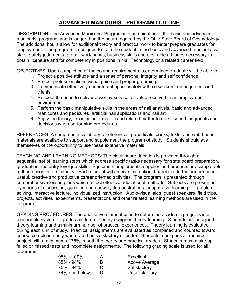### ADVANCED MANICURIST PROGRAM OUTLINE

DESCRIPTION: The Advanced Manicurist Program is a combination of the basic and advanced manicurist programs and is longer than the hours required by the Ohio State Board of Cosmetology. The additional hours allow for additional theory and practical work to better prepare graduates for employment. The program is designed to train the student in the basic and advanced manipulative skills, safety judgments, proper work habits, business skills and desirable attitudes necessary to obtain licensure and for competency in positions in Nail Technology or a related career field.

OBJECTIVES: Upon completion of the course requirements, a determined graduate will be able to:

- 1. Project a positive attitude and a sense of personal integrity and self confidence.
- 2. Project professionalism, visual poise and proper grooming.
- 3. Communicate effectively and interact appropriately with co-workers, management and clients.
- 4. Respect the need to deliver a worthy service for value received in an employment environment.
- 5. Perform the basic manipulative skills in the areas of nail analysis, basic and advanced manicures and pedicures, artificial nail applications and nail art.
- 6. Apply the theory, technical information and related matter to make sound judgments and decisions when performing procedures.

REFERENCES: A comprehensive library of references, periodicals, books, texts, and web-based materials are available to support and supplement the program of study. Students should avail themselves of the opportunity to use these extensive materials.

TEACHING AND LEARNING METHODS: The clock hour education is provided through a sequential set of learning steps which address specific tasks necessary for state board preparation, graduation and entry level job skills. Equipment, implements, supplies and products are comparable to those used in the industry. Each student will receive instruction that relates to the performance of useful, creative and productive career oriented activities. The program is presented through comprehensive lesson plans which reflect effective educational methods. Subjects are presented by means of discussion, question and answer, demonstrations, cooperative learning, problem solving, interactive lecture, individualized instruction. Audio-visual aids, guest speakers, field trips, projects, activities, experiments, presentations and other related learning methods are used in the program.

GRADING PROCEDURES: The qualitative element used to determine academic progress is a reasonable system of grades as determined by assigned theory learning. Students are assigned theory learning and a minimum number of practical experiences. Theory learning is evaluated during each unit of study. Practical assignments are evaluated as completed and counted toward course completion only when rated as satisfactory or better. Students must pass all required subject with a minimum of 75% in both the theory and practical grades. Students must make up failed or missed tests and incomplete assignments. The following grading scale is used for all programs:

| 95% - 100%    | A |
|---------------|---|
| 85% - 94%     | B |
| 75% - 84%     | C |
| 74% and below | D |

Excellent Above Average Satisfactory Unsatisfactory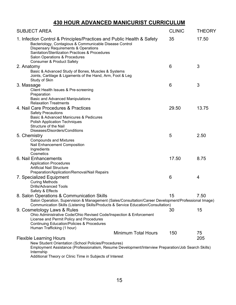### 430 HOUR ADVANCED MANICURIST CURRICULUM

| <b>SUBJECT AREA</b>                                                                                                                                                                                                                                                                                   | <b>CLINIC</b> | <b>THEORY</b> |
|-------------------------------------------------------------------------------------------------------------------------------------------------------------------------------------------------------------------------------------------------------------------------------------------------------|---------------|---------------|
| 1. Infection Control & Principles/Practices and Public Health & Safety<br>Bacteriology, Contagious & Communicable Disease Control<br><b>Dispensary Requirements &amp; Operations</b><br>Sanitation/Sterilization Practices & Procedures<br>Salon Operations & Procedures<br>Consumer & Product Safety | 35            | 17.50         |
| 2. Anatomy                                                                                                                                                                                                                                                                                            | 6             | 3             |
| Basic & Advanced Study of Bones, Muscles & Systems<br>Joints, Cartilage & Ligaments of the Hand, Arm, Foot & Leg<br>Study of Skin                                                                                                                                                                     |               |               |
| 3. Massage                                                                                                                                                                                                                                                                                            | 6             | 3             |
| Client Health Issues & Pre-screening<br>Preparation<br><b>Basic and Advanced Manipulations</b>                                                                                                                                                                                                        |               |               |
| <b>Relaxation Treatments</b>                                                                                                                                                                                                                                                                          |               |               |
| 4. Nail Care Procedures & Practices                                                                                                                                                                                                                                                                   | 29.50         | 13.75         |
| <b>Safety Precautions</b><br>Basic & Advanced Manicures & Pedicures<br><b>Polish Application Techniques</b><br>Structure of the Nail                                                                                                                                                                  |               |               |
| Diseases/Disorders/Conditions                                                                                                                                                                                                                                                                         |               |               |
| 5. Chemistry<br><b>Compounds and Mixtures</b><br>Nail Enhancement Composition<br>Ingredients<br>Cosmetics                                                                                                                                                                                             | 5             | 2.50          |
| 6. Nail Enhancements                                                                                                                                                                                                                                                                                  | 17.50         | 8.75          |
| <b>Application Procedures</b><br><b>Artificial Nail Structure</b><br>Preparation/Application/Removal/Nail Repairs                                                                                                                                                                                     |               |               |
| 7. Specialized Equipment<br><b>Curing Methods</b><br><b>Drills/Advanced Tools</b><br>Safety & Effects                                                                                                                                                                                                 | 6             | 4             |
| 8. Salon Operations & Communication Skills                                                                                                                                                                                                                                                            | 15            | 7.50          |
| Salon Operation, Supervision & Management (Sales/Consultation/Career Development/Professional Image)<br>Communication Skills (Listening Skills/Products & Service Education/Consultation)                                                                                                             |               |               |
| 9. Cosmetology Laws & Rules<br>Ohio Administrative Code/Ohio Revised Code/Inspection & Enforcement<br>License and Permit Policy and Procedures<br><b>Continuing Education/Policies &amp; Procedures</b><br>Human Trafficking (1 hour)                                                                 | 30            | 15            |
| <b>Minimum Total Hours</b>                                                                                                                                                                                                                                                                            | 150           | 75            |
| <b>Flexible Learning Hours</b>                                                                                                                                                                                                                                                                        |               | 205           |
| New Student Orientation (School Policies/Procedures)<br>Employment Assistance (Professionalism, Resume Development/Interview Preparation/Job Search Skills)<br>Internship<br>Additional Theory or Clinic Time in Subjects of Interest                                                                 |               |               |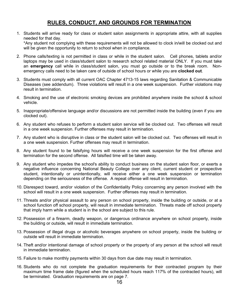### RULES, CONDUCT, AND GROUNDS FOR TERMINATION

- 1. Students will arrive ready for class or student salon assignments in appropriate attire, with all supplies needed for that day. \*Any student not complying with these requirements will not be allowed to clock in/will be clocked out and will be given the opportunity to return to school when in compliance.
- 2. Phone calls/texting is not permitted in class or while in the student salon. Cell phones, tablets and/or laptops may be used in class/student salon to research school related material ONLY. If you must take an emergency call while in class/student salon, you must go outside or to the break room. Nonemergency calls need to be taken care of outside of school hours or while you are clocked out.
- 3. Students must comply with all current OAC Chapter 4713-15 laws regarding Sanitation & Communicable Diseases (see addendum). Three violations will result in a one week suspension. Further violations may result in termination.
- 4. Smoking and the use of electronic smoking devices are prohibited anywhere inside the school & school vehicle.
- 5. Inappropriate/offensive language and/or discussions are not permitted inside the building (even if you are clocked out).
- 6. Any student who refuses to perform a student salon service will be clocked out. Two offenses will result in a one week suspension. Further offenses may result in termination.
- 7. Any student who is disruptive in class or the student salon will be clocked out. Two offenses will result in a one week suspension. Further offenses may result in termination.
- 8. Any student found to be falsifying hours will receive a one week suspension for the first offense and termination for the second offense. All falsified time will be taken away.
- 9. Any student who impedes the school's ability to conduct business on the student salon floor, or exerts a negative influence concerning National Beauty College over any client, current student or prospective student, intentionally or unintentionally, will receive either a one week suspension or termination depending on the seriousness of the offense. A repeat offense will result in termination.
- 10. Disrespect toward, and/or violation of the Confidentiality Policy concerning any person involved with the school will result in a one week suspension. Further offenses may result in termination.
- 11. Threats and/or physical assault to any person on school property, inside the building or outside, or at a school function off school property, will result in immediate termination. Threats made off school property that imply harm while a student is in the school are subject to this rule.
- 12. Possession of a firearm, deadly weapon, or dangerous ordinance anywhere on school property, inside the building or outside, will result in immediate termination.
- 13. Possession of illegal drugs or alcoholic beverages anywhere on school property, inside the building or outside will result in immediate termination.
- 14. Theft and/or intentional damage of school property or the property of any person at the school will result in immediate termination.
- 15. Failure to make monthly payments within 30 days from due date may result in termination.
- 16. Students who do not complete the graduation requirements for their contracted program by their maximum time frame date (figured when the scheduled hours reach 117% of the contracted hours), will be terminated. Graduation requirements are on page 7.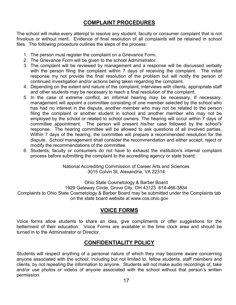### COMPLAINT PROCEDURES

The school will make every attempt to resolve any student, faculty or consumer complaint that is not frivolous or without merit. Evidence of final resolution of all complaints will be retained in school files. The following procedure outlines the steps of the process:

- 1. The person must register the complaint on a Grievance Form.
- 2. The Grievance Form will be given to the school Administrator.
- 3. The complaint will be reviewed by management and a response will be discussed verbally with the person filing the complaint within 7 days of receiving the complaint. The initial response my not provide the final resolution of the problem but will notify the person of continued investigation and/or actions being taken regarding the complaint.
- 4. Depending on the extent and nature of the complaint, interviews with clients, appropriate staff and other students may be necessary to reach a final resolution of the complaint.
- 5. In the case of extreme conflict, an informal hearing may be necessary. If necessary, management will appoint a committee consisting of one member selected by the school who has had no interest in the dispute, another member who may not be related to the person filing the complaint or another student in school and another member who may not be employed by the school or related to school owners. The hearing will occur within 7 days of committee appointment. The person will present his/her case followed by the school's response. The hearing committee will be allowed to ask questions of all involved parties. Within 7 days of the hearing, the committee will prepare a recommended resolution for the dispute. School management shall consider the recommendation and either accept, reject or modify the recommendations of the committee.
- 6. Students, faculty or consumers do not have to exhaust the institution's internal complaint process before submitting the complaint to the accrediting agency or state board:

National Accrediting Commission of Career Arts and Sciences 3015 Colvin St, Alexandria, VA 22314

Ohio State Cosmetology & Barber Board

1929 Gateway Circle, Grove City, OH 43123 614-466-3834

Complaints to Ohio State Cosmetology & Barber Board may be submitted under the Complaints tab on the state board website at www.cos.ohio.gov

### VOICE FORMS

Voice forms allow students to share an idea, give compliments or offer suggestions for the betterment of their education. Voice Forms are available in the time clock area and should be turned in to the Administrator or Director.

### CONFIDENTIALITY POLICY

Students will respect anything of a personal nature of which they may become aware concerning anyone associated with the school, including but not limited to, fellow students, staff members and clients, by not repeating the information to anyone. Students will not make audio recordings of, take and/or use photos or videos of anyone associated with the school without that person's written permission.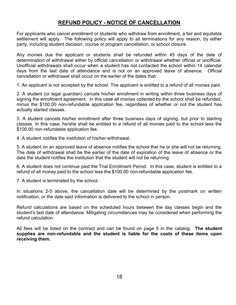### REFUND POLICY - NOTICE OF CANCELLATION

For applicants who cancel enrollment or students who withdraw from enrollment, a fair and equitable settlement will apply. The following policy will apply to all terminations for any reason, by either party, including student decision, course or program cancellation, or school closure.

Any monies due the applicant or students shall be refunded within 45 days of the date of determination of withdrawal either by official cancellation or withdrawal whether official or unofficial. Unofficial withdrawals shall occur when a student has not contacted the school within 14 calendar days from the last date of attendance and is not on an approved leave of absence. Official cancellation or withdrawal shall occur on the earlier of the dates that:

1. An applicant is not accepted by the school. The applicant is entitled to a refund of all monies paid.

2. A student (or legal guardian) cancels his/her enrollment in writing within three business days of signing the enrollment agreement. In this case all monies collected by the school shall be refunded, minus the \$100.00 non-refundable application fee, regardless of whether or not the student has actually started classes.

3. A student cancels his/her enrollment after three business days of signing, but prior to starting classes. In this case, he/she shall be entitled to a refund of all monies paid to the school less the \$100.00 non-refundable application fee.

4. A student notifies the institution of his/her withdrawal.

5. A student on an approved leave of absence notifies the school that he or she will not be returning. The date of withdrawal shall be the earlier of the date of expiration of the leave of absence or the date the student notifies the institution that the student will not be returning.

6. A student does not continue past the Trial Enrollment Period. In this case, student is entitled to a refund of all money paid to the school less the \$100.00 non-refundable application fee.

7. A student is terminated by the school.

In situations 2-5 above, the cancellation date will be determined by the postmark on written notification, or the date said information is delivered to the school in person.

Refund calculations are based on the scheduled hours between the day classes begin and the student's last date of attendance. Mitigating circumstances may be considered when performing the refund calculation.

All fees will be listed on the contract and can be found on page 5 in the catalog. The student supplies are non-refundable and the student is liable for the costs of these items upon receiving them.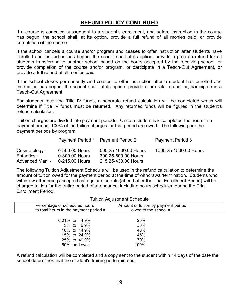### REFUND POLICY CONTINUED

If a course is canceled subsequent to a student's enrollment, and before instruction in the course has begun, the school shall, at its option, provide a full refund of all monies paid; or provide completion of the course.

If the school cancels a course and/or program and ceases to offer instruction after students have enrolled and instruction has begun, the school shall at its option, provide a pro-rata refund for all students transferring to another school based on the hours accepted by the receiving school, or provide completion of the course and/or program, or participate in a Teach-Out Agreement, or provide a full refund of all monies paid.

If the school closes permanently and ceases to offer instruction after a student has enrolled and instruction has begun, the school shall, at its option, provide a pro-rata refund, or, participate in a Teach-Out Agreement.

For students receiving Title IV funds, a separate refund calculation will be completed which will determine if Title IV funds must be returned. Any returned funds will be figured in the student's refund calculation.

Tuition charges are divided into payment periods. Once a student has completed the hours in a payment period, 100% of the tuition charges for that period are owed. The following are the payment periods by program.

|                              |                                  | Payment Period 1 Payment Period 2           | <b>Payment Period 3</b> |
|------------------------------|----------------------------------|---------------------------------------------|-------------------------|
| Cosmetology -<br>Esthetics - | 0-500.00 Hours<br>0-300.00 Hours | 500.25-1000.00 Hours<br>300.25-600.00 Hours | 1000.25-1500.00 Hours   |
| Advanced Mani -              | 0-215.00 Hours                   | 215.25-430.00 Hours                         |                         |

The following Tuition Adjustment Schedule will be used in the refund calculation to determine the amount of tuition owed for the payment period at the time of withdrawal/termination. Students who withdraw after being accepted as regular students (attend after the Trial Enrollment Period) will be charged tuition for the entire period of attendance, including hours scheduled during the Trial Enrollment Period.

|                                                                           |                                            | <b>Tuition Adjustment Schedule</b>                            |  |
|---------------------------------------------------------------------------|--------------------------------------------|---------------------------------------------------------------|--|
| Percentage of scheduled hours<br>to total hours in the payment period $=$ |                                            | Amount of tuition by payment period<br>owed to the school $=$ |  |
| $0.01\%$ to 4.9%<br>25% to 49.9%<br>50% and over                          | 5% to 9.9%<br>10% to 14.9%<br>15% to 24.9% | 20%<br>30%<br>40%<br>45%<br>70%<br>100%                       |  |

A refund calculation will be completed and a copy sent to the student within 14 days of the date the school determines that the student's training is terminated.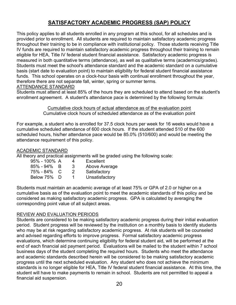### SATISFACTORY ACADEMIC PROGRESS (SAP) POLICY

This policy applies to all students enrolled in any program at this school, for all schedules and is provided prior to enrollment. All students are required to maintain satisfactory academic progress throughout their training to be in compliance with institutional policy. Those students receiving Title IV funds are required to maintain satisfactory academic progress throughout their training to remain eligible for HEA, Title IV federal student financial assistance. Satisfactory academic progress is measured in both quantitative terms (attendance), as well as qualitative terms (academics/grades). Students must meet the school's attendance standard and the academic standard on a cumulative basis (start date to evaluation point) to maintain eligibility for federal student financial assistance funds. This school operates on a clock-hour basis with continual enrollment throughout the year, therefore there are not separate fall, winter, spring or summer terms.

#### ATTENDANCE STANDARD

Students must attend at least 85% of the hours they are scheduled to attend based on the student's enrollment agreement. A student's attendance pace is determined by the following formula:

> Cumulative clock hours of actual attendance as of the evaluation point Cumulative clock hours of scheduled attendance as of the evaluation point

For example, a student who is enrolled for 37.5 clock hours per week for 16 weeks would have a cumulative scheduled attendance of 600 clock hours. If the student attended 510 of the 600 scheduled hours, his/her attendance pace would be 85.0% (510/600) and would be meeting the attendance requirement of this policy.

### ACADEMIC STANDARD

All theory and practical assignments will be graded using the following scale:

| 95% - 100% A    |        | Δ | Excellent      |
|-----------------|--------|---|----------------|
| $85\%$ - $94\%$ | -B     | 3 | Above Average  |
| 75% - 84% C     |        | 2 | Satisfactory   |
| Below 75%       | $\Box$ |   | Unsatisfactory |
|                 |        |   |                |

Students must maintain an academic average of at least 75% or GPA of 2.0 or higher on a cumulative basis as of the evaluation point to meet the academic standards of this policy and be considered as making satisfactory academic progress. GPA is calculated by averaging the corresponding point value of all subject areas.

### REVIEW AND EVALUATION PERIODS

Students are considered to be making satisfactory academic progress during their initial evaluation period. Student progress will be reviewed by the institution on a monthly basis to identify students who may be at risk regarding satisfactory academic progress. At risk students will be counseled and advised regarding efforts to improve progress. Formal satisfactory academic progress evaluations, which determine continuing eligibility for federal student aid, will be performed at the end of each financial aid payment period. Evaluations will be mailed to the student within 7 school business days of the student completing the required hours. Students who meet the attendance and academic standards described herein will be considered to be making satisfactory academic progress until the next scheduled evaluation. Any student who does not achieve the minimum standards is no longer eligible for HEA, Title IV federal student financial assistance. At this time, the student will have to make payments to remain in school. Students are not permitted to appeal a financial aid suspension.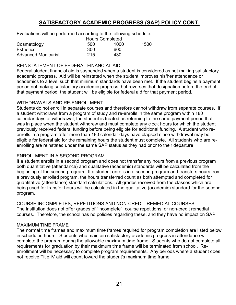### SATISFACTORY ACADEMIC PROGRESS (SAP) POLICY CONT.

Evaluations will be performed according to the following schedule:

|                            | <b>Hours Completed</b> |      |      |
|----------------------------|------------------------|------|------|
| Cosmetology                | 500                    | 1000 | 1500 |
| <b>Esthetics</b>           | 300                    | 600  |      |
| <b>Advanced Manicurist</b> | 215                    | 430  |      |

#### REINSTATEMENT OF FEDERAL FINANCIAL AID

Federal student financial aid is suspended when a student is considered as not making satisfactory academic progress. Aid will be reinstated when the student improves his/her attendance or academics to a level such that minimum standards have been met. If the student begins a payment period not making satisfactory academic progress, but reverses that designation before the end of that payment period, the student will be eligible for federal aid for that payment period.

#### WITHDRAWALS AND RE-ENROLLMENT

Students do not enroll in separate courses and therefore cannot withdraw from separate courses. If a student withdraws from a program of study and re-enrolls in the same program within 180 calendar days of withdrawal, the student is treated as returning to the same payment period that was in place when the student withdrew and must complete any clock hours for which the student previously received federal funding before being eligible for additional funding. A student who reenrolls in a program after more than 180 calendar days have elapsed since withdrawal may be eligible for federal aid for the remaining hours the student must complete. All students who are reenrolling are reinstated under the same SAP status as they had prior to their departure.

### ENROLLMENT IN A SECOND PROGRAM

If a student enrolls in a second program and does not transfer any hours from a previous program both quantitative (attendance) and qualitative (academic) standards will be calculated from the beginning of the second program. If a student enrolls in a second program and transfers hours from a previously enrolled program, the hours transferred count as both attempted and completed for quantitative (attendance) standard calculations. All grades received from the classes which are being used for transfer hours will be calculated in the qualitative (academic) standard for the second program.

COURSE INCOMPLETES, REPETITIONS AND NON-CREDIT REMEDIAL COURSES The institution does not offer grades of "incomplete", course repetitions, or non-credit remedial courses. Therefore, the school has no policies regarding these, and they have no impact on SAP.

#### MAXIMUM TIME FRAME

The normal time frames and maximum time frames required for program completion are listed below in scheduled hours. Students who maintain satisfactory academic progress in attendance will complete the program during the allowable maximum time frame. Students who do not complete all requirements for graduation by their maximum time frame will be terminated from school. Reenrollment will be necessary to complete program requirements. Any periods where a student does not receive Title IV aid will count toward the student's maximum time frame.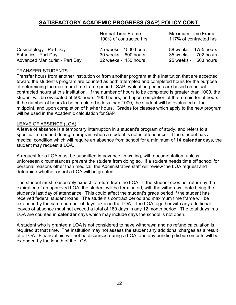### SATISFACTORY ACADEMIC PROGRESS (SAP) POLICY CONT.

100% of contracted hrs 117% of contracted hrs

Normal Time Frame Maximum Time Frame

| Cosmetology - Part Day         | 75 weeks - 1500 hours | 88 weeks - 1755 hours   |  |
|--------------------------------|-----------------------|-------------------------|--|
| Esthetics - Part Day           | 30 weeks - 600 hours  | 35 weeks -    702 hours |  |
| Advanced Manicurist - Part Day | 22 weeks - 430 hours  | 25 weeks - 503 hours    |  |

#### TRANSFER STUDENTS

Transfer hours from another institution or from another program at this institution that are accepted toward the student's program are counted as both attempted and completed hours for the purpose of determining the maximum time frame period. SAP evaluation periods are based on actual contracted hours at this institution. If the number of hours to be completed is greater than 1000, the student will be evaluated at 500 hours, 1000 hours, and upon completion of the remainder of hours. If the number of hours to be completed is less than 1000, the student will be evaluated at the midpoint, and upon completion of his/her hours. Grades for classes which apply to the new program will be used in the Academic calculation for SAP.

#### LEAVE OF ABSENCE (LOA)

A leave of absence is a temporary interruption in a student's program of study, and refers to a specific time period during a program when a student is not in attendance. If the student has a medical condition which will require an absence from school for a minimum of 14 calendar days, the student may request a LOA.

A request for a LOA must be submitted in advance, in writing, with documentation, unless unforeseen circumstances prevent the student from doing so. If a student needs time off school for personal reasons other than medical, the Administrative staff will review the LOA request and determine whether or not a LOA will be granted.

The student must reasonably expect to return from the LOA. If the student does not return by the expiration of an approved LOA, the student will be terminated, with the withdrawal date being the student's last day of attendance. This could affect the student's grace period if the student has received federal student loans. The student's contract period and maximum time frame will be extended by the same number of days taken in the LOA. The LOA together with any additional leaves of absence must not exceed a total of 180 days in any 12 month period. The total days in a LOA are counted in **calendar** days which may include days the school is not open.

A student who is granted a LOA is not considered to have withdrawn and no refund calculation is required at that time. The institution may not assess the student any additional charges as a result of a LOA. Financial aid will not be disbursed during a LOA, and any pending disbursements will be extended by the length of the LOA.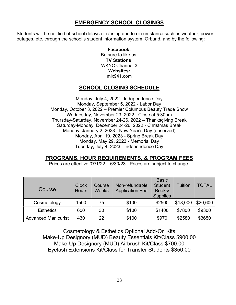### EMERGENCY SCHOOL CLOSINGS

Students will be notified of school delays or closing due to circumstance such as weather, power outages, etc. through the school's student information system, Orbund, and by the following:

> Facebook: Be sure to like us! TV Stations: WKYC Channel 3 Websites: mix941.com

### SCHOOL CLOSING SCHEDULE

Monday, July 4, 2022 - Independence Day Monday, September 5, 2022 - Labor Day Monday, October 3, 2022 – Premier Columbus Beauty Trade Show Wednesday, November 23, 2022 - Close at 5:30pm Thursday-Saturday, November 24-26, 2022 – Thanksgiving Break Saturday-Monday, December 24-26, 2022 - Christmas Break Monday, January 2, 2023 - New Year's Day (observed) Monday, April 10, 2023 - Spring Break Day Monday, May 29, 2023 - Memorial Day Tuesday, July 4, 2023 - Independence Day

### PROGRAMS, HOUR REQUIREMENTS, & PROGRAM FEES

Prices are effective 07/1/22 – 6/30/23 - Prices are subject to change.

| Course                     | <b>Clock</b><br><b>Hours</b> | <b>Course</b><br><b>Weeks</b> | Non-refundable<br><b>Application Fee</b> | <b>Basic</b><br><b>Student</b><br>Books/<br><b>Supplies</b> | <b>Tuition</b> | <b>TOTAL</b> |
|----------------------------|------------------------------|-------------------------------|------------------------------------------|-------------------------------------------------------------|----------------|--------------|
| Cosmetology                | 1500                         | 75                            | \$100                                    | \$2500                                                      | \$18,000       | \$20,600     |
| <b>Esthetics</b>           | 600                          | 30                            | \$100                                    | \$1400                                                      | \$7800         | \$9300       |
| <b>Advanced Manicurist</b> | 430                          | 22                            | \$100                                    | \$970                                                       | \$2580         | \$3650       |

Cosmetology & Esthetics Optional Add-On Kits Make-Up Designory (MUD) Beauty Essentials Kit/Class \$900.00 Make-Up Designory (MUD) Airbrush Kit/Class \$700.00 Eyelash Extensions Kit/Class for Transfer Students \$350.00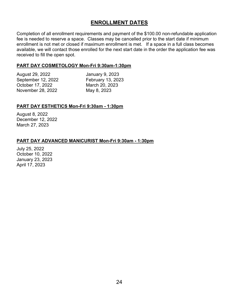### ENROLLMENT DATES

Completion of all enrollment requirements and payment of the \$100.00 non-refundable application fee is needed to reserve a space. Classes may be cancelled prior to the start date if minimum enrollment is not met or closed if maximum enrollment is met. If a space in a full class becomes available, we will contact those enrolled for the next start date in the order the application fee was received to fill the open spot.

### PART DAY COSMETOLOGY Mon-Fri 9:30am-1:30pm

| August 29, 2022    |
|--------------------|
| September 12, 2022 |
| October 17, 2022   |
| November 28, 2022  |

January 9, 2023 February 13, 2023 March 20, 2023 May 8, 2023

### PART DAY ESTHETICS Mon-Fri 9:30am - 1:30pm

August 8, 2022 December 12, 2022 March 27, 2023

#### PART DAY ADVANCED MANICURIST Mon-Fri 9:30am - 1:30pm

July 25, 2022 October 10, 2022 January 23, 2023 April 17, 2023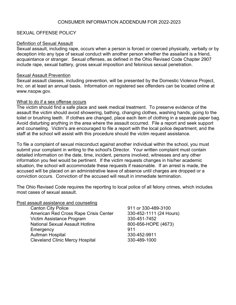#### CONSUMER INFORMATION ADDENDUM FOR 2022-2023

#### SEXUAL OFFENSE POLICY

#### Definition of Sexual Assault

Sexual assault, including rape, occurs when a person is forced or coerced physically, verbally or by deception into any type of sexual conduct with another person whether the assailant is a friend, acquaintance or stranger. Sexual offenses, as defined in the Ohio Revised Code Chapter 2907 include rape, sexual battery, gross sexual imposition and felonious sexual penetration.

#### Sexual Assault Prevention

Sexual assault classes, including prevention, will be presented by the Domestic Violence Project, Inc. on at least an annual basis. Information on registered sex offenders can be located online at www.nsopw.gov.

#### What to do if a sex offense occurs

The victim should find a safe place and seek medical treatment. To preserve evidence of the assault the victim should avoid showering, bathing, changing clothes, washing hands, going to the toilet or brushing teeth. If clothes are changed, place each item of clothing in a separate paper bag. Avoid disturbing anything in the area where the assault occurred. File a report and seek support and counseling. Victim's are encouraged to file a report with the local police department, and the staff at the school will assist with this procedure should the victim request assistance.

To file a complaint of sexual misconduct against another individual within the school, you must submit your complaint in writing to the school's Director. Your written complaint must contain detailed information on the date, time, incident, persons involved, witnesses and any other information you feel would be pertinent. If the victim requests changes in his/her academic situation, the school will accommodate these requests if reasonable. If an arrest is made, the accused will be placed on an administrative leave of absence until charges are dropped or a conviction occurs. Conviction of the accused will result in immediate termination.

The Ohio Revised Code requires the reporting to local police of all felony crimes, which includes most cases of sexual assault.

#### Post assault assistance and counseling

| 911 or 330-489-3100     |
|-------------------------|
| 330-452-1111 (24 Hours) |
| 330-451-7452            |
| 800-656-HOPE (4673)     |
| 911                     |
| 330-452-9911            |
| 330-489-1000            |
|                         |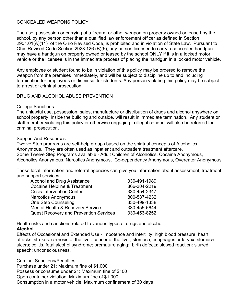#### CONCEALED WEAPONS POLICY

The use, possession or carrying of a firearm or other weapon on property owned or leased by the school, by any person other than a qualified law enforcement officer as defined in Section 2901.01(A)(11) of the Ohio Revised Code, is prohibited and in violation of State Law. Pursuant to Ohio Revised Code Section 2923.126 (B)(5), any person licensed to carry a concealed handgun may have a handgun on property owned or leased by the school ONLY if it is in a locked motor vehicle or the licensee is in the immediate process of placing the handgun in a locked motor vehicle.

Any employee or student found to be in violation of this policy may be ordered to remove the weapon from the premises immediately, and will be subject to discipline up to and including termination for employees or dismissal for students. Any person violating this policy may be subject to arrest or criminal prosecution.

#### DRUG AND ALCOHOL ABUSE PREVENTION

#### College Sanctions

The unlawful use, possession, sales, manufacture or distribution of drugs and alcohol anywhere on school property, inside the building and outside, will result in immediate termination. Any student or staff member violating this policy or otherwise engaging in illegal conduct will also be referred for criminal prosecution.

#### Support And Resources

Twelve Step programs are self-help groups based on the spiritual concepts of Alcoholics Anonymous. They are often used as inpatient and outpatient treatment aftercare. Some Twelve Step Programs available - Adult Children of Alcoholics, Cocaine Anonymous, Alcoholics Anonymous, Narcotics Anonymous, Co-dependency Anonymous, Overeater Anonymous

These local information and referral agencies can give you information about assessment, treatment and support services:

| Alcohol and Drug Assistance                   | 330-491-1989 |
|-----------------------------------------------|--------------|
| <b>Cocaine Helpline &amp; Treatment</b>       | 866-304-2219 |
| <b>Crisis Intervention Center</b>             | 330-454-2347 |
| <b>Narcotics Anonymous</b>                    | 800-587-4232 |
| <b>One Step Counseling</b>                    | 330-499-1338 |
| <b>Mental Health &amp; Recovery Service</b>   | 330-455-6644 |
| <b>Quest Recovery and Prevention Services</b> | 330-453-8252 |

### Health risks and sanctions related to various types of drugs and alcohol

#### Alcohol

Effects of Occasional and Extended Use - Impotence and infertility: high blood pressure: heart attacks: strokes: cirrhosis of the liver: cancer of the liver, stomach, esophagus or larynx: stomach ulcers; colitis, fetal alcohol syndrome; premature aging: birth defects: slowed reaction: slurred speech: unconsciousness.

Criminal Sanctions/Penalties Purchase under 21: Maximum fine of \$1,000 Possess or consume under 21: Maximum fine of \$100 Open container violation: Maximum fine of \$1,000 Consumption in a motor vehicle: Maximum confinement of 30 days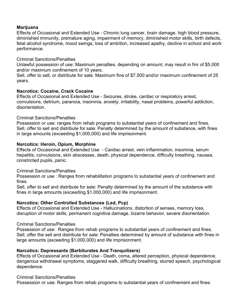#### Marijuana

Effects of Occasional and Extended Use - Chronic lung cancer, brain damage, high blood pressure, diminished immunity, premature aging, impairment of memory, diminished motor skills, birth defects, fetal alcohol syndrome, mood swings, loss of ambition, increased apathy, decline in school and work performance.

#### Criminal Sanctions/Penalties

Unlawful possession of use: Maximum penalties, depending on amount, may result in finr of \$5,000 and/or maximum confinement of 10 years.

Sell, offer to sell, or distribute for sale: Maximum fine of \$7,500 and/or maximum confinement of 25 years.

#### Nacrotics: Cocaine, Crack Cocaine

Effects of Occasional and Extended Use - Seizures, stroke, cardiac or respiratory arrest, convulsions, delirium, paranoia, insomnia, anxiety; irritability, nasal problems, powerful addiction, disorientation.

#### Criminal Sanctions/Penalties

Possession or use: ranges from rehab programs to substantial years of confinement and fines. Sell, offer to sell and distribute for sale: Penalty determined by the amount of substance, with fines in large amounts (exceeding \$1,000,000) and life imprisonment.

#### Narcotics: Heroin, Opium, Morphine

Effects of Occasional and Extended Use - Cardiac arrest, vein inflammation, insomnia, serum hepatitis, convulsions, skin abscesses, death, physical dependence, difficulty breathing, nausea, constricted pupils, panic.

#### Criminal Sanctions/Penalties

Possession or use : Ranges from rehabilitation programs to substantial years of confinement and fines.

Sell, offer to sell and distribute for sale: Penalty determined by the amount of the substance with fines in large amounts (exceeding \$1,000,000) and life imprisonment.

#### Narcotics: Other Controlled Substances (Lsd, Pcp)

Effects of Occasional and Extended Use - Hallucinations, distortion of senses, memory loss, disruption of motor skills, permanent cognitive damage, bizarre behavior, severe disorientation.

#### Criminal Sanctions/Penalties

Possession of use: Ranges from rehab programs to substantial years of confinement and fines. Sell, offer the sell and distribute for sale: Penalties determined by amount of substance with fines in large amounts (exceeding \$1,000,000) and life imprisonment.

### Narcotics: Depressants (Barbiturates And Tranquilizers)

Effects of Occasional and Extended Use - Death, coma, altered perception, physical dependence, dangerous withdrawal symptoms, staggered walk, difficulty breathing, slurred speech, psychological dependence.

#### Criminal Sanctions/Penalties

Possession or use: Ranges from rehab programs to substantial years of confinement and fines.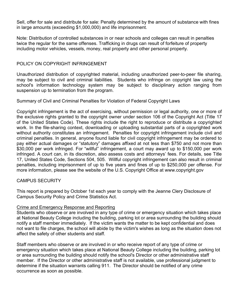Sell, offer for sale and distribute for sale: Penalty determined by the amount of substance with fines in large amounts (exceeding \$1,000,000) and life imprisonment.

Note: Distribution of controlled substances in or near schools and colleges can result in penalties twice the regular for the same offenses. Trafficking in drugs can result of forfeiture of property including motor vehicles, vessels, money, real property and other personal property.

#### POLICY ON COPYRIGHT INFRINGEMENT

Unauthorized distribution of copyrighted material, including unauthorized peer-to-peer file sharing, may be subject to civil and criminal liabilities. Students who infringe on copyright law using the school's information technology system may be subject to disciplinary action ranging from suspension up to termination from the program.

#### Summary of Civil and Criminal Penalties for Violation of Federal Copyright Laws

Copyright infringement is the act of exercising, without permission or legal authority, one or more of the exclusive rights granted to the copyright owner under section 106 of the Copyright Act (Title 17 of the United States Code). These rights include the right to reproduce or distribute a copyrighted work. In the file-sharing context, downloading or uploading substantial parts of a copyrighted work without authority constitutes an infringement. Penalties for copyright infringement include civil and criminal penalties. In general, anyone found liable for civil copyright infringement may be ordered to pay either actual damages or "statutory" damages affixed at not less than \$750 and not more than \$30,000 per work infringed. For "willful" infringement, a court may award up to \$150,000 per work infringed. A court can, in its discretion, also assess costs and attorneys' fees. For details, see Title 17, United States Code, Sections 504, 505. Willful copyright infringement can also result in criminal penalties, including imprisonment of up to five years and fines of up to \$250,000 per offense. For more information, please see the website of the U.S. Copyright Office at www.copyright.gov

### CAMPUS SECURITY

This report is prepared by October 1st each year to comply with the Jeanne Clery Disclosure of Campus Security Policy and Crime Statistics Act.

#### Crime and Emergency Response and Reporting

Students who observe or are involved in any type of crime or emergency situation which takes place at National Beauty College including the building, parking lot or area surrounding the building should notify a staff member immediately. If the victim wants the matter to be kept confidential and does not want to file charges, the school will abide by the victim's wishes as long as the situation does not affect the safety of other students and staff.

Staff members who observe or are involved in or who receive report of any type of crime or emergency situation which takes place at National Beauty College including the building, parking lot or area surrounding the building should notify the school's Director or other administrative staff member. If the Director or other administrative staff is not available, use professional judgment to determine if the situation warrants calling 911. The Director should be notified of any crime occurrence as soon as possible.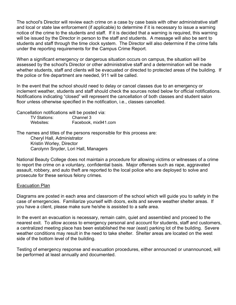The school's Director will review each crime on a case by case basis with other administrative staff and local or state law enforcement (if applicable) to determine if it is necessary to issue a warning notice of the crime to the students and staff. If it is decided that a warning is required, this warning will be issued by the Director in person to the staff and students. A message will also be sent to students and staff through the time clock system. The Director will also determine if the crime falls under the reporting requirements for the Campus Crime Report.

When a significant emergency or dangerous situation occurs on campus, the situation will be assessed by the school's Director or other administrative staff and a determination will be made whether students, staff and clients will be evacuated or directed to protected areas of the building. If the police or fire department are needed, 911 will be called.

In the event that the school should need to delay or cancel classes due to an emergency or inclement weather, students and staff should check the sources noted below for official notifications. Notifications indicating "closed" will represent the cancellation of both classes and student salon floor unless otherwise specified in the notification, i.e., classes cancelled.

Cancellation notifications will be posted via:

| <b>TV Stations:</b> | Channel 3            |
|---------------------|----------------------|
| Websites:           | Facebook, mix941.com |

The names and titles of the persons responsible for this process are: Cheryl Hall, Administrator Kristin Worley, Director Carolynn Snyder, Lori Hall, Managers

National Beauty College does not maintain a procedure for allowing victims or witnesses of a crime to report the crime on a voluntary, confidential basis. Major offenses such as rape, aggravated assault, robbery, and auto theft are reported to the local police who are deployed to solve and prosecute for these serious felony crimes.

#### Evacuation Plan

Diagrams are posted in each area and classroom of the school which will guide you to safety in the case of emergencies. Familiarize yourself with doors, exits and severe weather shelter areas. If you have a client, please make sure he/she is assisted to a safe area.

In the event an evacuation is necessary, remain calm, quiet and assembled and proceed to the nearest exit. To allow access to emergency personal and account for students, staff and customers, a centralized meeting place has been established the rear (east) parking lot of the building. Severe weather conditions may result in the need to take shelter. Shelter areas are located on the west side of the bottom level of the building.

Testing of emergency response and evacuation procedures, either announced or unannounced, will be performed at least annually and documented.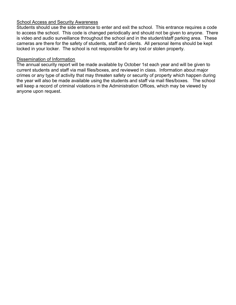### **School Access and Security Awareness**

Students should use the side entrance to enter and exit the school. This entrance requires a code to access the school. This code is changed periodically and should not be given to anyone. There is video and audio surveillance throughout the school and in the student/staff parking area. These cameras are there for the safety of students, staff and clients. All personal items should be kept locked in your locker. The school is not responsible for any lost or stolen property.

#### Dissemination of Information

The annual security report will be made available by October 1st each year and will be given to current students and staff via mail files/boxes, and reviewed in class. Information about major crimes or any type of activity that may threaten safety or security of property which happen during the year will also be made available using the students and staff via mail files/boxes. The school will keep a record of criminal violations in the Administration Offices, which may be viewed by anyone upon request.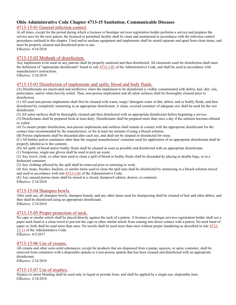### Ohio Administrative Code Chapter 4713-15 Sanitation; Communicable Diseases

#### 4713-15-01 General infection control.

At all times, except for the period during which a licensee or boutique services registration holder performs a service and prepares the service area for the next patron, the licensed or permitted facility shall be clean and maintained in accordance with the infection control procedures outlined in this chapter. Used and/or unclean equipment and implements shall be stored separate and apart from clean items, and must be properly cleaned and disinfected prior to use. Effective: 4/16/2018

4713-15-02 Methods of disinfection.

Any implements to be used on any patrons shall be properly sanitized and then disinfected. All chemicals used for disinfection shall meet the definition of "appropriate disinfectant" found in rule 4713-1-01 of the Administrative Code, and shall be used in accordance with manufacturer's instructions.

Effective: 2/16/2018

#### 4713-15-03 Disinfection of implements and spills; blood and body fluids.

(A) Disinfectants are inactivated and ineffective when the implement to be disinfected is visibly contaminated with debris, hair, dirt, oils, particulates, and/or when heavily soiled. Thus, non-porous implements and all salon surfaces shall be thoroughly cleaned prior to disinfection.

(1) All used non-porous implements shall first be cleaned with warm, soapy/ detergent water of dirt, debris, and or bodily fluids, and then disinfected by completely immersing in an appropriate disinfectant. A clean, covered container of adequate size shall be used for the wet disinfectant.

(2) All salon surfaces shall be thoroughly cleaned and then disinfected with an appropriate disinfectant before beginning a service.

(3) Disinfectants shall be prepared fresh at least daily. Disinfectants shall be prepared more than once a day if the solution becomes diluted or soiled.

(4) To ensure proper disinfection, non-porous implements and surfaces shall remain in contact with the appropriate disinfectant for the contact time recommended by the manufacturer, or for at least ten minutes if using a bleach solution.

(B) Porous implements shall be discarded after each use, and shall not be cleaned or disinfected for reuse.

(C) All bottles and/or containers other than the original manufacturers' container used for application of an appropriate disinfectant shall be properly labeled as to the contents.

(D) All spills of blood and/or bodily fluids shall be cleaned as soon as possible and disinfected with an appropriate disinfectant.

(1) Nonporous, single-use gloves shall be used to pick up waste.

(2) Any towel, cloth, or other item used to clean a spill of blood or bodily fluids shall be discarded by placing in double bags, or in a biohazard container.

(3) Any clothing affected by the spill shall be removed prior to returning to work.

(4) Any mops, brushes, buckets, or similar items used to clean the spill area shall be disinfected by immersing in a bleach solution mixed and used in accordance with rule 4713-1-01 of the Administrative Code.

(E) Any unused porous items shall be stored in a closed, dustproof cabinet, drawer, or container. Effective: 2/16/2018

#### 4713-15-04 Shampoo bowls.

After each use, all shampoo bowls, shampoo boards, and any other items used for shampooing shall be cleaned of hair and other debris, and then shall be disinfected using an appropriate disinfectant. Effective: 2/16/2018

#### 4713-15-05 Proper protection of neck.

No cape or similar article shall be placed directly against the neck of a patron. A licensee or boutique services registration holder shall use a paper neck band or a clean towel to prevent the cape or other similar article from coming into direct contact with a patron. No neck band of paper or cloth shall be used more than once. No towels shall be used more than once without proper laundering as described in rule  $4713-$ 15-11 of the Administrative Code.

Effective: 4/3/2017

#### 4713-15-06 Use of creams.

All creams and other semi-solid substances; except for products that are dispensed from a pump, squeeze, or spray container, shall be removed from containers with a disposable spatula or a non-porous spatula that has been cleaned and disinfected with an appropriate disinfectant.

Effective: 2/16/2018

#### 4713-15-07 Use of styptics.

Styptics to arrest bleeding shall be used only in liquid or powder form, and shall be applied by a single-use, disposable item. Effective: 2/16/2018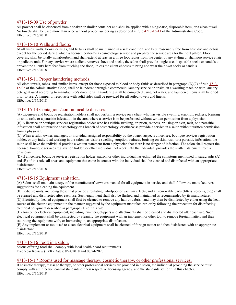#### 4713-15-09 Use of powder.

All powder shall be dispensed from a shaker or similar container and shall be applied with a single-use, disposable item, or a clean towel . No towels shall be used more than once without proper laundering as described in rule 4713-15-11 of the Administrative Code. Effective: 2/16/2018

#### 4713-15-10 Walls and floors.

At all times, walls, floors, ceilings, and fixtures shall be maintained in a safe condition, and kept reasonably free from hair, dirt and debris, except for the period during which a licensee performs a cosmetology service and prepares the service area for the next patron. Floor covering shall be totally nonabsorbent and shall extend at least in a three foot radius from the center of any styling or shampoo service chair or pedicure unit. For any service where a client removes shoes and socks, the salon shall provide single-use, disposable socks or sandals to prevent the client's bare feet from touching the floor, unless the client chooses to bring and wear their own socks or sandals. Effective: 2/16/2018

#### 4713-15-11 Proper laundering methods.

All cloth towels, robes, and similar items, except for those exposed to blood or body fluids as described in paragraph (D)(2) of rule 4713- 15-03 of the Administrative Code, shall be laundered through a commercial laundry service or onsite, in a washing machine with laundry detergent used according to manufacturer's directions . Laundering shall be completed using hot water, and laundered items shall be dried prior to use. A hamper or receptacle with solid sides shall be provided for all soiled towels and linens. Effective: 2/16/2018

#### 4713-15-13 Contagious/communicable diseases.

(A) Licensees and boutique registration holders shall not perform a service on a client who has visible swelling, eruption, redness, bruising on skin, rash, or a parasitic infestation in the area where a service is to be performed without written permission from a physician. (B) A licensee or boutique services registration holder who has visible swelling, eruption, redness, bruising on skin, rash, or a parasitic infestation shall not practice cosmetology or a branch of cosmetology, or otherwise provide a service in a salon without written permission from a physician.

(C) When a salon owner, manager, or individual assigned responsibility by the owner suspects a licensee, boutique services registration holder, or any individual working in the salon has visible swelling, eruption, redness, bruising on skin, rash, or a parasitic infestation, the salon shall have the individual provide a written statement from a physician that there is no danger of infection. The salon shall request the licensee, boutique services registration holder, or other individual not work until the individual provides the written statement from a physician.

(D) If a licensee, boutique services registration holder, patron, or other individual has exhibited the symptoms mentioned in paragraphs (A) and (B) of this rule, all areas and equipment that came in contact with the individual shall be cleaned and disinfected with an appropriate disinfectant.

Effective: 2/16/2018

#### 4713-15-15 Equipment sanitation.

(A) Salons shall maintain a copy of the manufacturer's/owner's manual for all equipment in service and shall follow the manufacturer's suggestions for cleaning the equipment.

(B) Pedicure units, including those that provide circulating, whirlpool or vacuum effects, and all removable parts (filters, screens, etc.) shall be cleaned and disinfected after each use. Such equipment shall also be flushed and maintained as recommended by its manufacturer.

(C) Electrically -heated equipment shall first be cleaned to remove any hair or debris , and may then be disinfected by either using the heat source of the electric equipment in the manner suggested by the equipment manufacturer, or by following the procedure for disinfecting electrical equipment described in paragraph (D) of this rule.

(D) Any other electrical equipment, including trimmers, clippers and attachments shall be cleaned and disinfected after each use. Such electrical equipment shall be disinfected by cleaning the equipment with an implement or other tool to remove foreign matter, and then saturating the equipment with, or immersing in, an appropriate disinfectant.

(E) Any implement or tool used to clean electrical equipment shall be cleaned of foreign matter and then disinfected with an appropriate disinfectant.

Effective: 2/16/2018

#### 4713-15-16 Food in a salon.

Salons offering food shall comply with local health board requirements. Five Year Review (FYR) Dates: 8/24/2018 and 08/24/2023

#### 4713-15-17 Rooms used for massage therapy, cosmetic therapy, or other professional services.

If cosmetic therapy, massage therapy, or other professional services are provided in a salon, the individual providing the service must comply with all infection control standards of their respective licensing agency, and the standards set forth in this chapter. Effective: 2/16/2018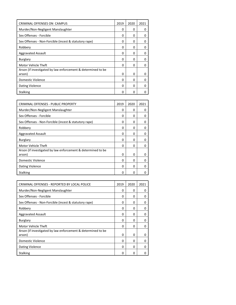| CRIMINAL OFFENSES ON CAMPUS                                            | 2019     | 2020     | 2021 |
|------------------------------------------------------------------------|----------|----------|------|
| Murder/Non-Negligent Manslaughter                                      | 0        | 0        | O    |
| Sex Offenses - Forcible                                                | O        | 0        | O    |
| Sex Offenses - Non-Forcible (incest & statutory rape)                  | 0        | 0        | 0    |
| Robbery                                                                | O        | 0        | O    |
| <b>Aggravated Assault</b>                                              | 0        | 0        | O    |
| <b>Burglary</b>                                                        | O        | 0        | n    |
| Motor Vehicle Theft                                                    | O        | 0        | 0    |
| Arson (if investigated by law enforcement & determined to be<br>arson) | $\Omega$ | $\Omega$ | O    |
| Domestic Violence                                                      | O        | 0        | O    |
| Dating Violence                                                        | O        | 0        | 0    |
| <b>Stalking</b>                                                        | O        | O        |      |

| CRIMINAL OFFENSES - PUBLIC PROPERTY                          | 2019 | 2020     | 2021 |
|--------------------------------------------------------------|------|----------|------|
| Murder/Non-Negligent Manslaughter                            | 0    | 0        | 0    |
| Sex Offenses - Forcible                                      | 0    | 0        | 0    |
| Sex Offenses - Non-Forcible (incest & statutory rape)        | 0    | 0        | 0    |
| Robbery                                                      | 0    | 0        | 0    |
| <b>Aggravated Assault</b>                                    | 0    | 0        | 0    |
| <b>Burglary</b>                                              | 0    | 0        | 0    |
| Motor Vehicle Theft                                          | O    | U        | 0    |
| Arson (if investigated by law enforcement & determined to be |      |          |      |
| arson)                                                       | 0    | $\Omega$ | 0    |
| Domestic Violence                                            | O    | 0        | 0    |
| Dating Violence                                              | 0    | 0        | 0    |
| <b>Stalking</b>                                              | 0    | 0        | O    |

| CRIMINAL OFFENSES - REPORTED BY LOCAL POLICE                 | 2019 | 2020         | 2021 |
|--------------------------------------------------------------|------|--------------|------|
| Murder/Non-Negligent Manslaughter                            | 0    | 0            | 0    |
| Sex Offenses - Forcible                                      | 0    | 0            | 0    |
| Sex Offenses - Non-Forcible (incest & statutory rape)        | 0    | <sup>0</sup> | 0    |
| Robbery                                                      | 0    | 0            | 0    |
| <b>Aggravated Assault</b>                                    | 0    | 0            | 0    |
| <b>Burglary</b>                                              | 0    | 0            | 0    |
| Motor Vehicle Theft                                          | 0    | 0            | 0    |
| Arson (if investigated by law enforcement & determined to be |      |              |      |
| arson)                                                       | O    | $\Omega$     | O    |
| Domestic Violence                                            | O    | $\Omega$     | O    |
| Dating Violence                                              | 0    | $\Omega$     | 0    |
| Stalking                                                     | ი    | O            | ŋ    |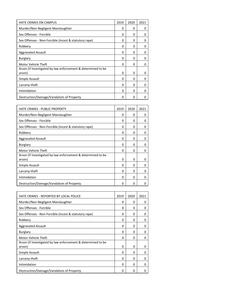| <b>HATE CRIMES ON CAMPUS</b>                                           | 2019     | 2020     | 2021 |
|------------------------------------------------------------------------|----------|----------|------|
| Murder/Non-Negligent Manslaughter                                      | O        | O        | 0    |
| Sex Offenses - Forcible                                                | 0        | 0        | 0    |
| Sex Offenses - Non-Forcible (incest & statutory rape)                  | 0        | 0        | 0    |
| Robbery                                                                | 0        | 0        | 0    |
| <b>Aggravated Assault</b>                                              | $\Omega$ | 0        | 0    |
| <b>Burglary</b>                                                        | 0        | 0        | 0    |
| Motor Vehicle Theft                                                    | O        | 0        | 0    |
| Arson (if investigated by law enforcement & determined to be<br>arson) | $\Omega$ | 0        | 0    |
| Simple Assault                                                         | 0        | 0        | 0    |
| Larceny-theft                                                          | 0        | 0        | 0    |
| Intimidation                                                           | $\Omega$ | $\Omega$ | ŋ    |
| Destruction/Damage/Vandalism of Property                               | $\Omega$ | 0        | n    |

| <b>HATE CRIMES - PUBLIC PROPERTY</b>                                   | 2019 | 2020 | 2021 |
|------------------------------------------------------------------------|------|------|------|
| Murder/Non-Negligent Manslaughter                                      | 0    | O    | 0    |
| Sex Offenses - Forcible                                                | O    | 0    | 0    |
| Sex Offenses - Non-Forcible (incest & statutory rape)                  | 0    | 0    | 0    |
| Robbery                                                                | 0    | 0    | 0    |
| Aggravated Assault                                                     | 0    | 0    | 0    |
| <b>Burglary</b>                                                        | O    | 0    | 0    |
| Motor Vehicle Theft                                                    | O    | 0    | 0    |
| Arson (if investigated by law enforcement & determined to be<br>arson) | 0    | 0    | 0    |
| Simple Assault                                                         | 0    | 0    | 0    |
| Larceny-theft                                                          | 0    | 0    | 0    |
| Intimidation                                                           | O    | 0    | 0    |
| Destruction/Damage/Vandalism of Property                               | O    | O    | 0    |

| HATE CRIMES - REPORTED BY LOCAL POLICE                                 | 2019     | 2020 | 2021 |
|------------------------------------------------------------------------|----------|------|------|
| Murder/Non-Negligent Manslaughter                                      | 0        | 0    | 0    |
| Sex Offenses - Forcible                                                | 0        | 0    | 0    |
| Sex Offenses - Non-Forcible (incest & statutory rape)                  | 0        | O    | 0    |
| Robbery                                                                | O        | 0    | 0    |
| <b>Aggravated Assault</b>                                              | 0        | 0    | 0    |
| Burglary                                                               | O        | 0    | 0    |
| Motor Vehicle Theft                                                    | O        | 0    | 0    |
| Arson (if investigated by law enforcement & determined to be<br>arson) | $\Omega$ | 0    | 0    |
| Simple Assault                                                         | 0        | 0    | 0    |
| Larceny-theft                                                          | O        | 0    | 0    |
| Intimidation                                                           | 0        | 0    | 0    |
| Destruction/Damage/Vandalism of Property                               | 0        | O    | O    |